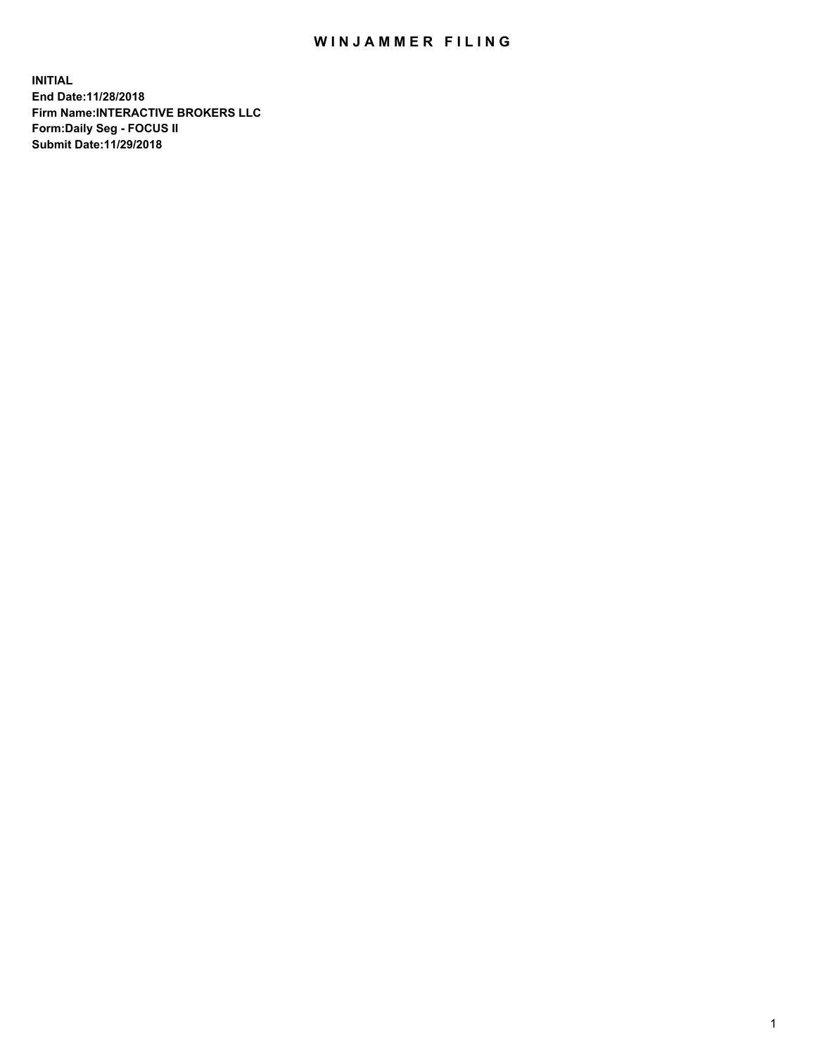## WIN JAMMER FILING

**INITIAL End Date:11/28/2018 Firm Name:INTERACTIVE BROKERS LLC Form:Daily Seg - FOCUS II Submit Date:11/29/2018**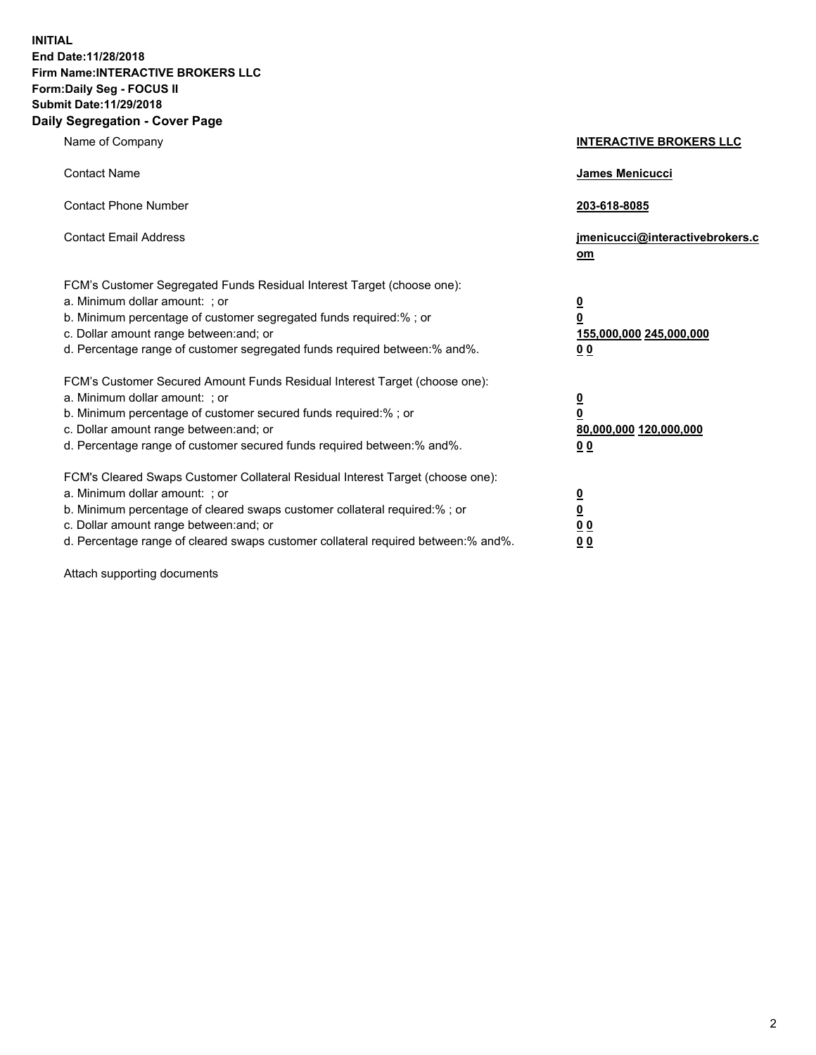**INITIAL End Date:11/28/2018 Firm Name:INTERACTIVE BROKERS LLC Form:Daily Seg - FOCUS II Submit Date:11/29/2018 Daily Segregation - Cover Page**

| Name of Company                                                                                                                                                                                                                                                                                                                | <b>INTERACTIVE BROKERS LLC</b>                                                                  |
|--------------------------------------------------------------------------------------------------------------------------------------------------------------------------------------------------------------------------------------------------------------------------------------------------------------------------------|-------------------------------------------------------------------------------------------------|
| <b>Contact Name</b>                                                                                                                                                                                                                                                                                                            | James Menicucci                                                                                 |
| <b>Contact Phone Number</b>                                                                                                                                                                                                                                                                                                    | 203-618-8085                                                                                    |
| <b>Contact Email Address</b>                                                                                                                                                                                                                                                                                                   | jmenicucci@interactivebrokers.c<br>om                                                           |
| FCM's Customer Segregated Funds Residual Interest Target (choose one):<br>a. Minimum dollar amount: ; or<br>b. Minimum percentage of customer segregated funds required:%; or<br>c. Dollar amount range between: and; or<br>d. Percentage range of customer segregated funds required between:% and%.                          | $\overline{\mathbf{0}}$<br>$\overline{\mathbf{0}}$<br>155,000,000 245,000,000<br>0 <sub>0</sub> |
| FCM's Customer Secured Amount Funds Residual Interest Target (choose one):<br>a. Minimum dollar amount: ; or<br>b. Minimum percentage of customer secured funds required:% ; or<br>c. Dollar amount range between: and; or<br>d. Percentage range of customer secured funds required between:% and%.                           | $\overline{\mathbf{0}}$<br>$\overline{\mathbf{0}}$<br>80,000,000 120,000,000<br>0 <sub>0</sub>  |
| FCM's Cleared Swaps Customer Collateral Residual Interest Target (choose one):<br>a. Minimum dollar amount: ; or<br>b. Minimum percentage of cleared swaps customer collateral required:% ; or<br>c. Dollar amount range between: and; or<br>d. Percentage range of cleared swaps customer collateral required between:% and%. | $\overline{\mathbf{0}}$<br>$\underline{\mathbf{0}}$<br>0 <sub>0</sub><br>0 <sub>0</sub>         |

Attach supporting documents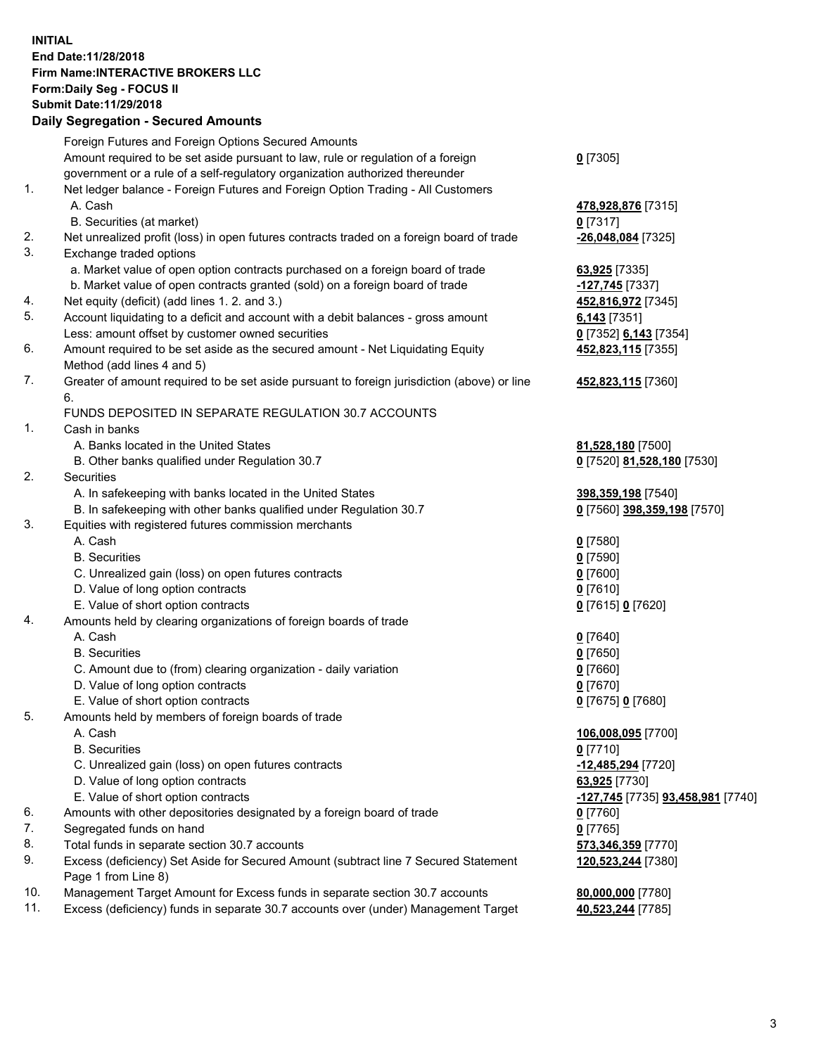## **INITIAL End Date:11/28/2018 Firm Name:INTERACTIVE BROKERS LLC Form:Daily Seg - FOCUS II Submit Date:11/29/2018 Daily Segregation - Secured Amounts**

|     | Dany Segregation - Secured Amounts                                                          |                                   |
|-----|---------------------------------------------------------------------------------------------|-----------------------------------|
|     | Foreign Futures and Foreign Options Secured Amounts                                         |                                   |
|     | Amount required to be set aside pursuant to law, rule or regulation of a foreign            | $0$ [7305]                        |
|     | government or a rule of a self-regulatory organization authorized thereunder                |                                   |
| 1.  | Net ledger balance - Foreign Futures and Foreign Option Trading - All Customers             |                                   |
|     | A. Cash                                                                                     | 478,928,876 [7315]                |
|     | B. Securities (at market)                                                                   | $0$ [7317]                        |
| 2.  | Net unrealized profit (loss) in open futures contracts traded on a foreign board of trade   | -26,048,084 [7325]                |
| 3.  | Exchange traded options                                                                     |                                   |
|     | a. Market value of open option contracts purchased on a foreign board of trade              | 63,925 [7335]                     |
|     | b. Market value of open contracts granted (sold) on a foreign board of trade                | 127,745 [7337]                    |
| 4.  | Net equity (deficit) (add lines 1. 2. and 3.)                                               | 452,816,972 [7345]                |
| 5.  | Account liquidating to a deficit and account with a debit balances - gross amount           | $6,143$ [7351]                    |
|     | Less: amount offset by customer owned securities                                            | 0 [7352] 6,143 [7354]             |
| 6.  | Amount required to be set aside as the secured amount - Net Liquidating Equity              | 452,823,115 [7355]                |
|     | Method (add lines 4 and 5)                                                                  |                                   |
| 7.  | Greater of amount required to be set aside pursuant to foreign jurisdiction (above) or line | 452,823,115 [7360]                |
|     | 6.                                                                                          |                                   |
|     | FUNDS DEPOSITED IN SEPARATE REGULATION 30.7 ACCOUNTS                                        |                                   |
| 1.  | Cash in banks                                                                               |                                   |
|     | A. Banks located in the United States                                                       | 81,528,180 [7500]                 |
|     | B. Other banks qualified under Regulation 30.7                                              | 0 [7520] 81,528,180 [7530]        |
| 2.  | <b>Securities</b>                                                                           |                                   |
|     | A. In safekeeping with banks located in the United States                                   | 398,359,198 [7540]                |
|     | B. In safekeeping with other banks qualified under Regulation 30.7                          | 0 [7560] 398,359,198 [7570]       |
| 3.  | Equities with registered futures commission merchants                                       |                                   |
|     | A. Cash                                                                                     | $0$ [7580]                        |
|     | <b>B.</b> Securities                                                                        | $0$ [7590]                        |
|     | C. Unrealized gain (loss) on open futures contracts                                         | $0$ [7600]                        |
|     | D. Value of long option contracts                                                           | $0$ [7610]                        |
|     | E. Value of short option contracts                                                          | 0 [7615] 0 [7620]                 |
| 4.  | Amounts held by clearing organizations of foreign boards of trade                           |                                   |
|     | A. Cash                                                                                     | $0$ [7640]                        |
|     | <b>B.</b> Securities                                                                        | $0$ [7650]                        |
|     | C. Amount due to (from) clearing organization - daily variation                             | $0$ [7660]                        |
|     | D. Value of long option contracts                                                           | $0$ [7670]                        |
|     | E. Value of short option contracts                                                          | 0 [7675] 0 [7680]                 |
| 5.  | Amounts held by members of foreign boards of trade                                          |                                   |
|     | A. Cash                                                                                     | 106,008,095 [7700]                |
|     | <b>B.</b> Securities                                                                        | $0$ [7710]                        |
|     | C. Unrealized gain (loss) on open futures contracts                                         | -12,485,294 [7720]                |
|     | D. Value of long option contracts                                                           | 63,925 [7730]                     |
|     | E. Value of short option contracts                                                          | -127,745 [7735] 93,458,981 [7740] |
| 6.  | Amounts with other depositories designated by a foreign board of trade                      | $0$ [7760]                        |
| 7.  | Segregated funds on hand                                                                    | $0$ [7765]                        |
| 8.  | Total funds in separate section 30.7 accounts                                               | 573,346,359 [7770]                |
| 9.  | Excess (deficiency) Set Aside for Secured Amount (subtract line 7 Secured Statement         | 120,523,244 [7380]                |
|     | Page 1 from Line 8)                                                                         |                                   |
| 10. | Management Target Amount for Excess funds in separate section 30.7 accounts                 | 80,000,000 [7780]                 |
| 11. | Excess (deficiency) funds in separate 30.7 accounts over (under) Management Target          | 40,523,244 [7785]                 |
|     |                                                                                             |                                   |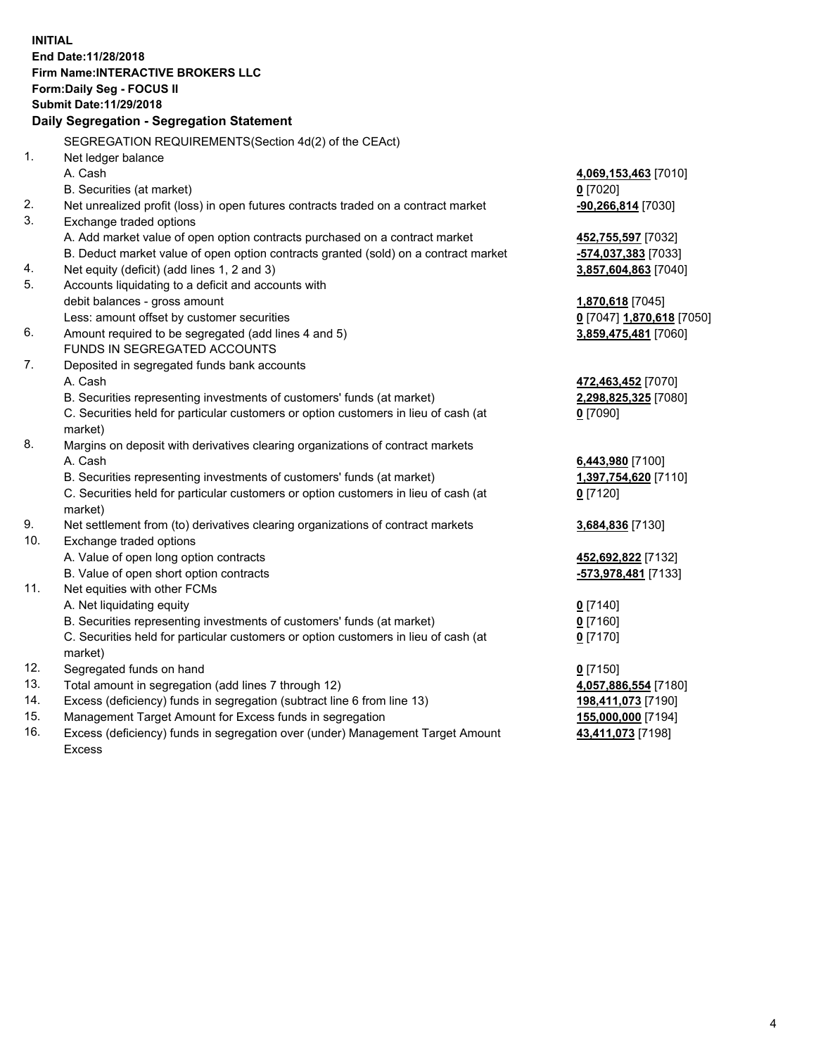**INITIAL End Date:11/28/2018 Firm Name:INTERACTIVE BROKERS LLC Form:Daily Seg - FOCUS II Submit Date:11/29/2018 Daily Segregation - Segregation Statement** SEGREGATION REQUIREMENTS(Section 4d(2) of the CEAct) 1. Net ledger balance A. Cash **4,069,153,463** [7010] B. Securities (at market) **0** [7020] 2. Net unrealized profit (loss) in open futures contracts traded on a contract market **-90,266,814** [7030] 3. Exchange traded options A. Add market value of open option contracts purchased on a contract market **452,755,597** [7032] B. Deduct market value of open option contracts granted (sold) on a contract market **-574,037,383** [7033] 4. Net equity (deficit) (add lines 1, 2 and 3) **3,857,604,863** [7040] 5. Accounts liquidating to a deficit and accounts with debit balances - gross amount **1,870,618** [7045] Less: amount offset by customer securities **0** [7047] **1,870,618** [7050] 6. Amount required to be segregated (add lines 4 and 5) **3,859,475,481** [7060] FUNDS IN SEGREGATED ACCOUNTS 7. Deposited in segregated funds bank accounts A. Cash **472,463,452** [7070] B. Securities representing investments of customers' funds (at market) **2,298,825,325** [7080] C. Securities held for particular customers or option customers in lieu of cash (at market) **0** [7090] 8. Margins on deposit with derivatives clearing organizations of contract markets A. Cash **6,443,980** [7100] B. Securities representing investments of customers' funds (at market) **1,397,754,620** [7110] C. Securities held for particular customers or option customers in lieu of cash (at market) **0** [7120] 9. Net settlement from (to) derivatives clearing organizations of contract markets **3,684,836** [7130] 10. Exchange traded options A. Value of open long option contracts **452,692,822** [7132] B. Value of open short option contracts **-573,978,481** [7133] 11. Net equities with other FCMs A. Net liquidating equity **0** [7140] B. Securities representing investments of customers' funds (at market) **0** [7160] C. Securities held for particular customers or option customers in lieu of cash (at market) **0** [7170] 12. Segregated funds on hand **0** [7150] 13. Total amount in segregation (add lines 7 through 12) **4,057,886,554** [7180] 14. Excess (deficiency) funds in segregation (subtract line 6 from line 13) **198,411,073** [7190] 15. Management Target Amount for Excess funds in segregation **155,000,000** [7194] **43,411,073** [7198]

16. Excess (deficiency) funds in segregation over (under) Management Target Amount Excess